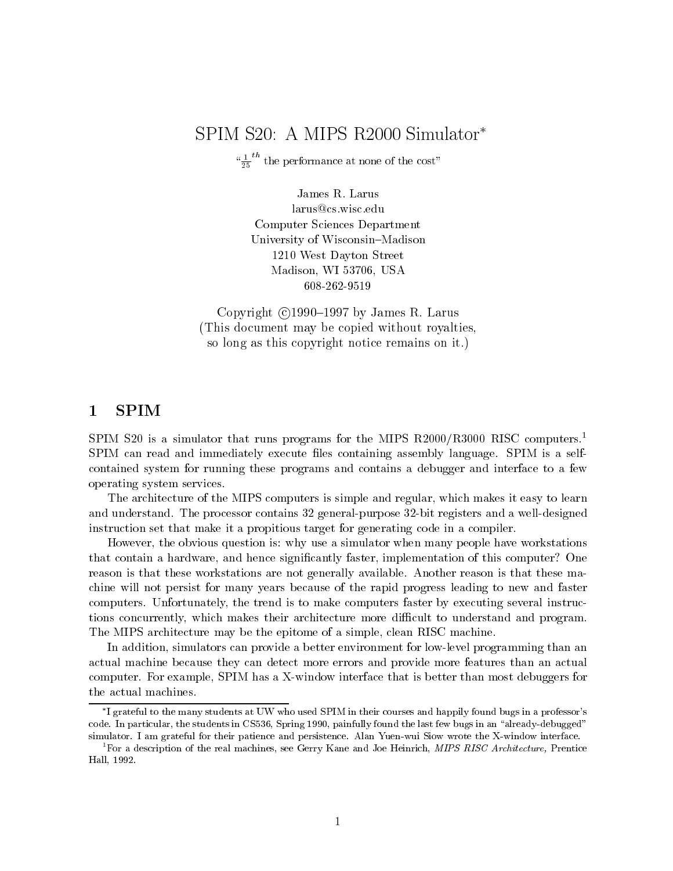# SPIM S20: A MIPS R2000 Simulator

 $\overline{25}$  une  $\degree$  the performance at none of the cost"

James R. Larus larus@cs.wisc.edu Computer Sciences Department University of Wisconsin–Madison 1210 West Dayton Street Madison, WI 53706, USA 608-262-9519

Copyright <sup>c</sup> 1990{1997 by James R. Larus  $\mu$  rans document may be copied without royalties, so long as this copyright notice remains on it.)

#### 1SPIM

SPIM S20 is a simulator that runs programs for the MIPS R2000/R3000 RISC computers.<sup>1</sup> SPIM can read and immediately execute files containing assembly language. SPIM is a selfcontained system for running these programs and contains a debugger and interface to a few operating system services.

The architecture of the MIPS computers is simple and regular, which makes it easy to learn and understand. The processor contains 32 general-purpose 32-bit registers and a well-designed instruction set that make it a propitious target for generating code in a compiler.

However, the obvious question is: why use a simulator when many people have workstations that contain a hardware, and hence signicantly faster, implementation of this computer? One reason is that these workstations are not generally available. Another reason is that these machine will not persist for many years because of the rapid progress leading to new and faster computers. Unfortunately, the trend is to make computers faster by executing several instructions concurrently, which makes their architecture more difficult to understand and program. The MIPS architecture may be the epitome of a simple, clean RISC machine.

In addition, simulators can provide a better environment for low-level programming than an actual machine because they can detect more errors and provide more features than an actual computer. For example, SPIM has a X-window interface that is better than most debuggers for the actual machines.

I grateful to the many students at UW who used SPIM in their courses and happily found bugs in a professor's code. In particular, the students in CS536, Spring 1990, painfully found the last few bugs in an "already-debugged" simulator. I am grateful for their patience and persistence. Alan Yuen-wui Siow wrote the X-window interface.

<sup>&</sup>lt;sup>1</sup>For a description of the real machines, see Gerry Kane and Joe Heinrich, *MIPS RISC Architecture*, Prentice Hall, 1992.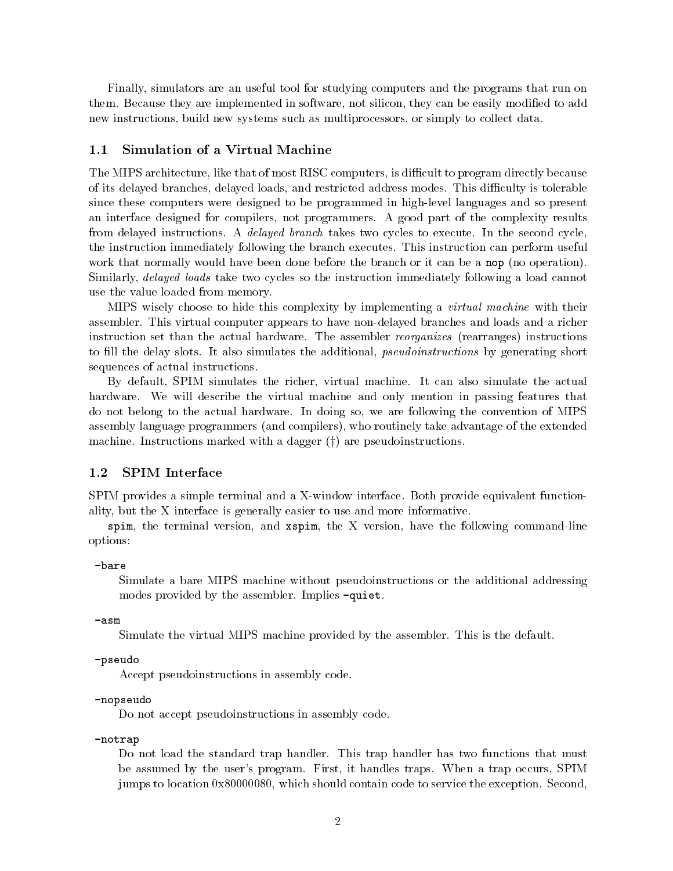Finally, simulators are an useful tool for studying computers and the programs that run on them. Because they are implemented in software, not silicon, they can be easily modified to add new instructions, build new systems such as multiprocessors, or simply to collect data.

# 1.1 Simulation of a Virtual Machine

The MIPS architecture, like that of most RISC computers, is difficult to program directly because of its delayed branches, delayed loads, and restricted address modes. This difficulty is tolerable since these computers were designed to be programmed in high-level languages and so present an interface designed for compilers, not programmers. A good part of the complexity results from delayed instructions. A delayed branch takes two cycles to execute. In the second cycle, the instruction immediately following the branch executes. This instruction can perform useful work that normally would have been done before the branch or it can be a nop (no operation). Similarly, *delayed loads* take two cycles so the instruction immediately following a load cannot use the value loaded from memory.

MIPS wisely choose to hide this complexity by implementing a *virtual machine* with their assembler. This virtual computer appears to have non-delayed branches and loads and a richer instruction set than the actual hardware. The assembler *reorganizes* (rearranges) instructions to fill the delay slots. It also simulates the additional, *pseudoinstructions* by generating short sequences of actual instructions.

By default, SPIM simulates the richer, virtual machine. It can also simulate the actual hardware. We will describe the virtual machine and only mention in passing features that do not belong to the actual hardware. In doing so, we are following the convention of MIPS assembly language programmers (and compilers), who routinely take advantage of the extended machine. Instructions marked with a dagger  $(+)$  are pseudoinstructions.

## 1.2 SPIM Interface

SPIM provides a simple terminal and a X-window interface. Both provide equivalent functionality, but the X interface is generally easier to use and more informative.

spim, the terminal version, and xspim, the X version, have the following command-line options:

-bare

Simulate a bare MIPS machine without pseudoinstructions or the additional addressing modes provided by the assembler. Implies -quiet.

```
-asm
```
Simulate the virtual MIPS machine provided by the assembler. This is the default.

```
-pseudo
```
Accept pseudoinstructions in assembly code.

```
-nopseudo
```
Do not accept pseudoinstructions in assembly code.

-notrap

Do not load the standard trap handler. This trap handler has two functions that must be assumed by the user's program. First, it handles traps. When a trap occurs, SPIM jumps to location 0x80000080, which should contain code to service the exception. Second,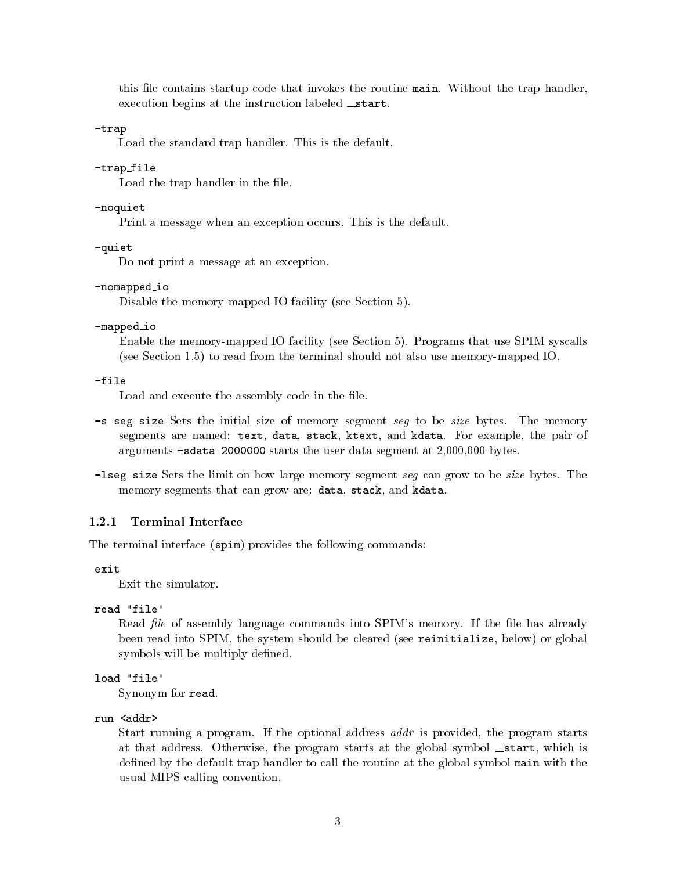this file contains startup code that invokes the routine main. Without the trap handler, execution begins at the instruction labeled \_start.

#### -trap

Load the standard trap handler. This is the default.

#### -trap file

Load the trap handler in the file.

## -noquiet

Print a message when an exception occurs. This is the default.

-quiet

Do not print a message at an exception.

```
-nomapped io
```
Disable the memory-mapped IO facility (see Section 5).

### -mapped io

Enable the memory-mapped IO facility (see Section 5). Programs that use SPIM syscalls (see Section 1.5) to read from the terminal should not also use memory-mapped IO.

# $-file$

Load and execute the assembly code in the file.

- -s seg size Sets the initial size of memory segment seg to be size bytes. The memory segments are named: text, data, stack, ktext, and kdata. For example, the pair of arguments -sdata <sup>2000000</sup> starts the user data segment at 2,000,000 bytes.
- -lseg size Sets the limit on how large memory segment seg can grow to be size bytes. The memory segments that can grow are: data, stack, and kdata.

#### 1.2.1Terminal Interface

The terminal interface (spim) provides the following commands:

## exit

Exit the simulator.

```
<u>read "file"</u>
```
Read *file* of assembly language commands into SPIM's memory. If the file has already been read into SPIM, the system should be cleared (see reinitialize, below) or global symbols will be multiply defined.

Synonym for read.

```
run <addr>
```
Start running a program. If the optional address addr is provided, the program starts at that address. Otherwise, the program starts at the global symbol start, which is defined by the default trap handler to call the routine at the global symbol main with the usual MIPS calling convention.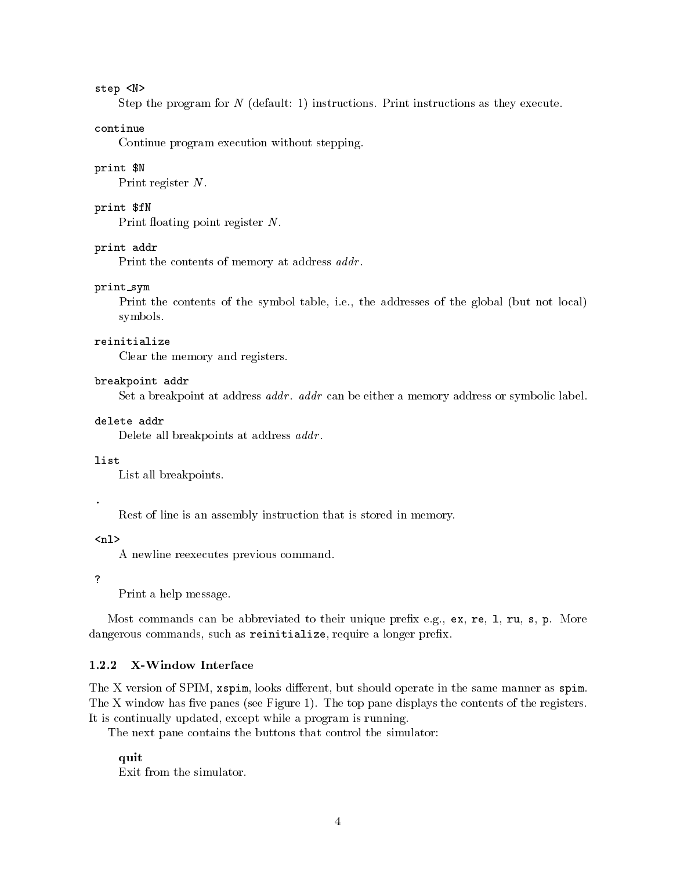#### step and the state of the state of the state of the state of the state of the state of the state of the state of the state of the state of the state of the state of the state of the state of the state of the state of the s

Step the program for  $N$  (default: 1) instructions. Print instructions as they execute.

## continue

Continue program execution without stepping.

### print = 200 minutes = 200 minutes = 200 minutes = 200 minutes = 200 minutes = 200 minutes = 200 minutes = 200

Print register N.

## print <u>that the state of the state of the state of the state of the state of the state of the state of the state of</u>

Print floating point register  $N$ .

### print addressed and addressed and addressed and addressed and addressed and addressed and addressed and addressed and

Print the contents of memory at address *addr*.

### print symmetry and symmetry symmetry

Print the contents of the symbol table, i.e., the addresses of the global (but not local) symbols. symbols.

### reinitialize

Clear the memory and registers.

### breakth and address the second contract of the second contract of the second contract of the second contract of the second contract of the second contract of the second contract of the second contract of the second contrac

Set a breakpoint at address *addr. addr* can be either a memory address or symbolic label.

### delete added added and the second contract of the second contract of the second contract of the second contract of the second contract of the second contract of the second contract of the second contract of the second cont

Delete all breakpoints at address *addr*.

## list

List all breakpoints.

#### .

Rest of line is an assembly instruction that is stored in memory.

 $\langle$ nl $\rangle$ 

A newline reexecutes previous command.

?

Print a help message.

Most commands can be abbreviated to their unique prefix e.g.,  $\exp$ ,  $\exp$ ,  $\exp$ ,  $\exp$ ,  $\exp$ ,  $\exp$ dangerous commands, such as reinitialize, require a longer prefix.

The X version of SPIM, xspim, looks different, but should operate in the same manner as spim. The X window has five panes (see Figure 1). The top pane displays the contents of the registers. It is continually updated, except while a program is running.

The next pane contains the buttons that control the simulator:

# quit

Exit from the simulator.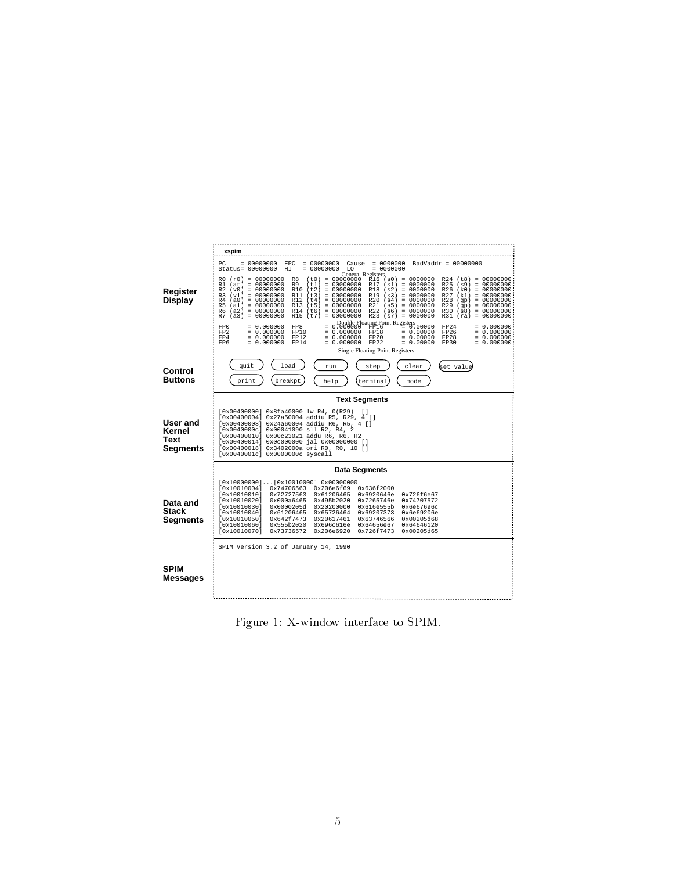

Figure 1: X-window interface to SPIM.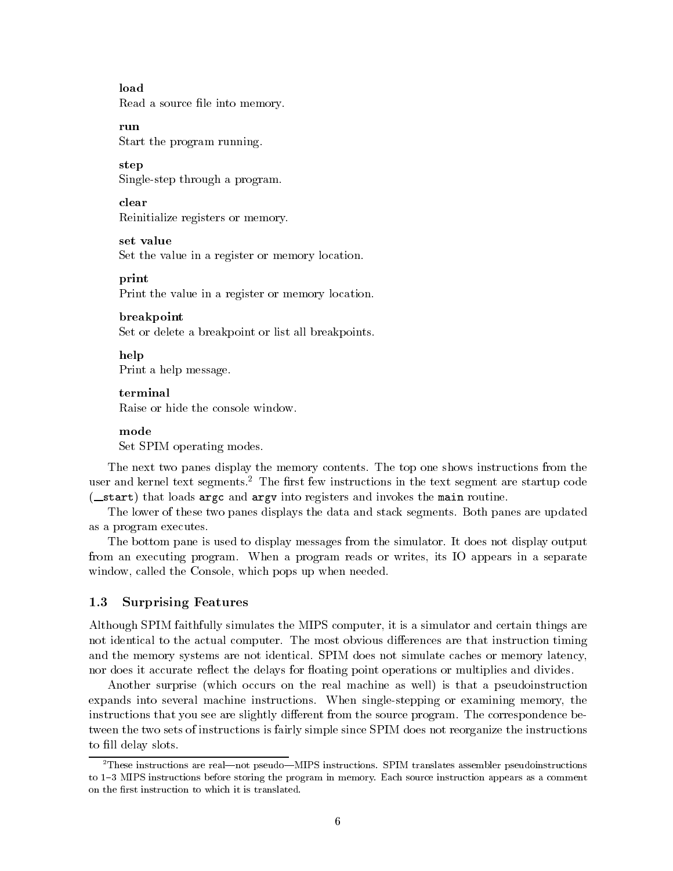loadRead a source file into memory.

run Start the program running.

stepSingle-step through a program.

clear Reinitialize registers or memory.

set value Set the value in a register or memory location.

printPrint the value in a register or memory location.

# breakpoint

Set or delete a breakpoint or list all breakpoints.

helpPrint a help message.

# terminal

Raise or hide the console window.

# mode

Set SPIM operating modes.

The next two panes display the memory contents. The top one shows instructions from the user and kernel text segments.<sup>2</sup> The first few instructions in the text segment are startup code  $($ **start**) that loads arge and argy into registers and invokes the main routine.

The lower of these two panes displays the data and stack segments. Both panes are updated as a program executes.

The bottom pane is used to display messages from the simulator. It does not display output from an executing program. When a program reads or writes, its IO appears in a separate window, called the Console, which pops up when needed.

# 1.3 Surprising Features

Although SPIM faithfully simulates the MIPS computer, it is a simulator and certain things are not identical to the actual computer. The most obvious differences are that instruction timing and the memory systems are not identical. SPIM does not simulate caches or memory latency, nor does it accurate reflect the delays for floating point operations or multiplies and divides.

Another surprise (which occurs on the real machine as well) is that a pseudoinstruction expands into several machine instructions. When single-stepping or examining memory, the instructions that you see are slightly different from the source program. The correspondence between the two sets of instructions is fairly simple since SPIM does not reorganize the instructions to fill delay slots.

 $2$ These instructions are real—not pseudo—MIPS instructions. SPIM translates assembler pseudoinstructions to 1-3 MIPS instructions before storing the program in memory. Each source instruction appears as a comment on the first instruction to which it is translated.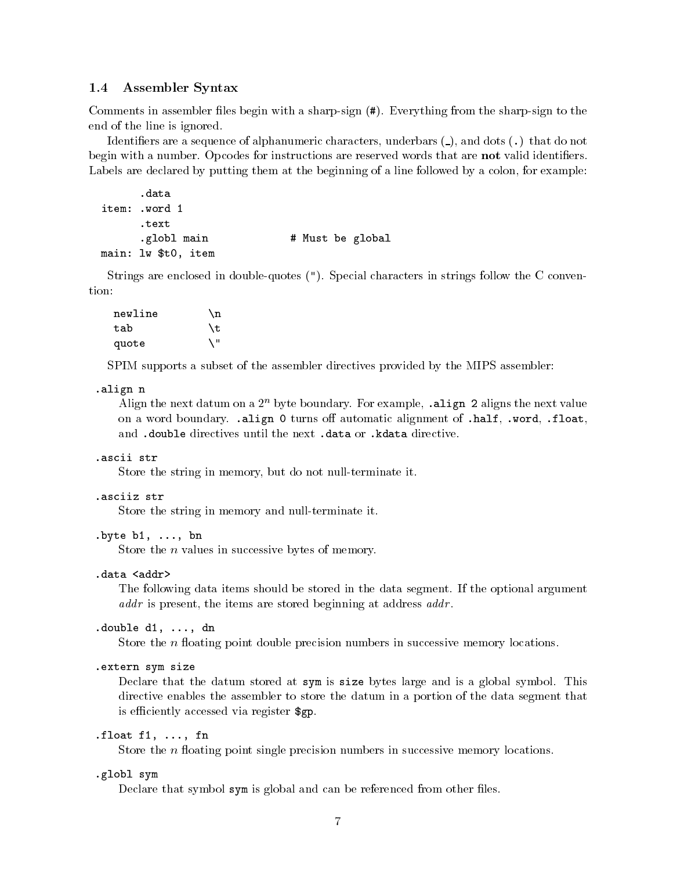# 1.4 Assembler Syntax

Comments in assembler files begin with a sharp-sign  $(\#)$ . Everything from the sharp-sign to the end of the line is ignored.

Identifiers are a sequence of alphanumeric characters, underbars (\_), and dots (.) that do not begin with a number. Opcodes for instructions are reserved words that are **not** valid identifiers. Labels are declared by putting them at the beginning of a line followed by a colon, for example:

```
.dataitem: .word 1
     .text.globl main
                            # Must be global
main: lw $t0, item
```
Strings are enclosed in double-quotes ("). Special characters in strings follow the C convention:

```
newline\mathbf{n}tab\lambdat
                           \lambda<sup>n</sup>
quote\mathbf{r}
```
SPIM supports a subset of the assembler directives provided by the MIPS assembler:

```
. and \mathbf{a} = \mathbf{a} is a set of \mathbf{a}
```
Align the next datum on a  $2^n$  byte boundary. For example,  $\lambda$  align 2 aligns the next value on a word boundary. .align 0 turns off automatic alignment of .half, .word, .float, and .double directives until the next .data or .kdata directive.

```
.ascii
```
Store the string in memory, but do not null-terminate it.

Store the string in memory and null-terminate it.

.byte b1, ..., bn

Store the *n* values in successive bytes of memory.

```
. data kan die kan die kan die kan die kan die kan die kan die kan die kan die kan die kan die kan die kan die
```
The following data items should be stored in the data segment. If the optional argument addr is present, the items are stored beginning at address addr.

```
.double d1, ..., dn
```
Store the  $n$  floating point double precision numbers in successive memory locations.

```
. extern symmetric state \sim
```
Declare that the datum stored at sym is size bytes large and is a global symbol. This directive enables the assembler to store the datum in a portion of the data segment that is efficiently accessed via register \$gp.

```
.float finished for a finished for the finished function of \mathbf{1}_{\mathbf{1}}
```
Store the  $n$  floating point single precision numbers in successive memory locations.

```
.globl sym
```
Declare that symbol sym is global and can be referenced from other files.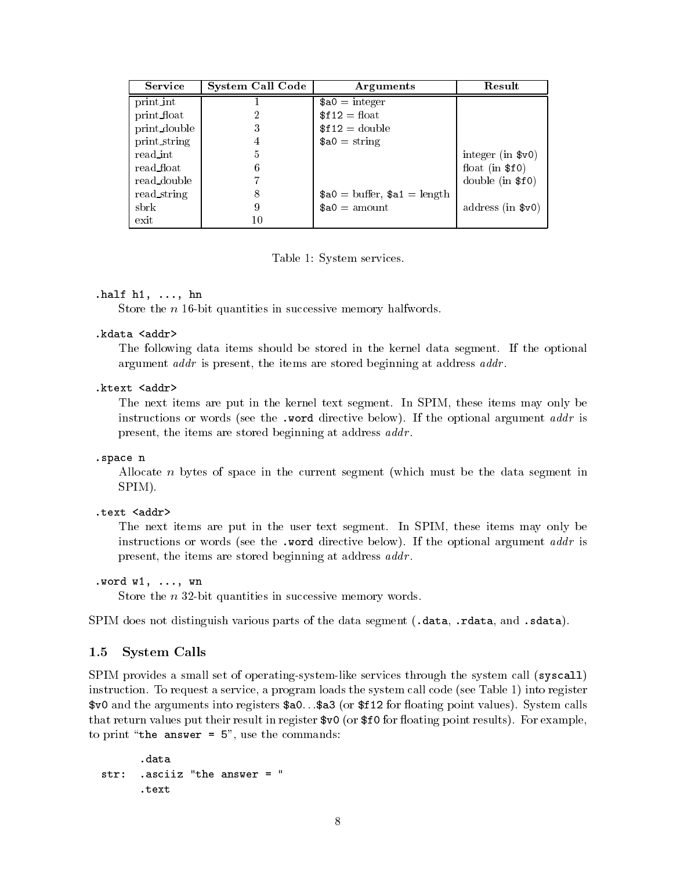| <b>Service</b> | System Call Code | Arguments                                  | Result             |
|----------------|------------------|--------------------------------------------|--------------------|
| print_int      |                  | $a0 = integer$                             |                    |
| print_float    |                  | $$f12 = float$                             |                    |
| print_double   | 3                | $$f12 = double$                            |                    |
| print_string   | 4                | $a0 = string$                              |                    |
| read_int       | 5                |                                            | integer (in $v0$ ) |
| read_float     |                  |                                            | float (in $$f0)$   |
| read_double    |                  |                                            | double $(in $f0)$  |
| read string    | 8                | $a0 = \text{buffer},$ $a1 = \text{length}$ |                    |
| sbrk           | 9                | $a =$ amount                               | address (in $v0$ ) |
| exit           | 10               |                                            |                    |

Table 1: System services.

# .half his holds in the case of the contract of the contract of the contract of the contract of the contract of

Store the *n* 16-bit quantities in successive memory halfwords.

The following data items should be stored in the kernel data segment. If the optional argument *addr* is present, the items are stored beginning at address *addr*.

The next items are put in the kernel text segment. In SPIM, these items may only be instructions or words (see the .word directive below). If the optional argument *addr* is present, the items are stored beginning at address addr .

## .space <sup>n</sup>

Allocate <sup>n</sup> bytes of space in the current segment (which must be the data segment in SPIM).

# .text <addr>

The next items are put in the user text segment. In SPIM, these items may only be instructions or words (see the .word directive below). If the optional argument  $\alpha d\alpha$  is present, the items are stored beginning at address *addr*.

```
.w.e.u.u., ..., ...
```
Store the *n* 32-bit quantities in successive memory words.

SPIM does not distinguish various parts of the data segment (.data, .rdata, and .sdata).

# 1.5 System Calls

SPIM provides a small set of operating-system-like services through the system call (syscall) instruction. To request a service, a program loads the system call code (see Table 1) into register  $\ddotsc$  and the arguments into registers  $\ddotsc$  and  $\ddotsc$  is  $\ddotsc$  for the callision  $\ddotsc$  and  $\ddotsc$   $\ddotsc$   $\ddotsc$ that return values put their result in register  $\sqrt{$v$}$  (or  $\sqrt{$f$}$  for floating point results). For example, to print "the answer =  $5$ ", use the commands:

```
.data.text
```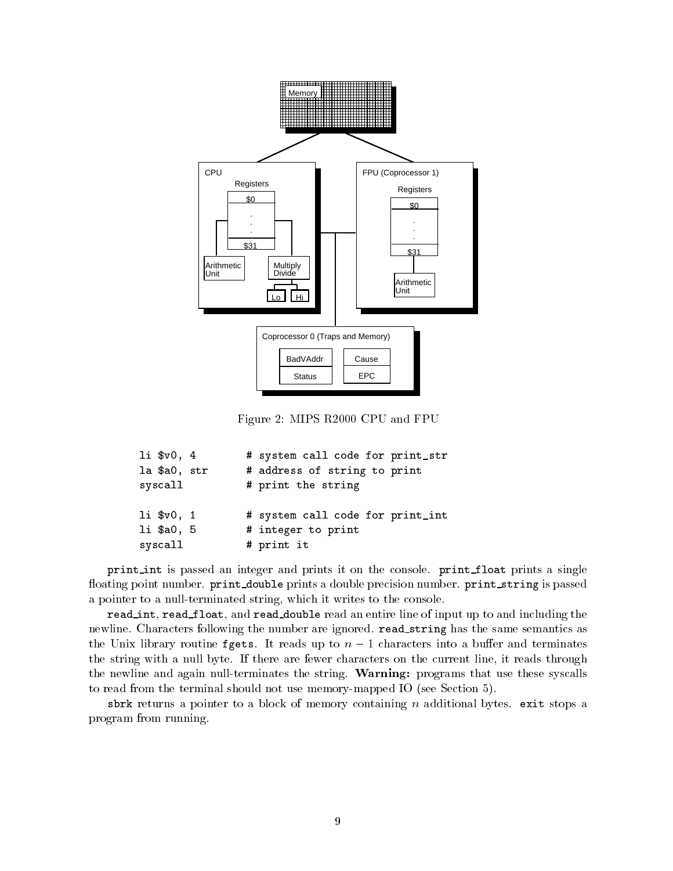

Figure 2: MIPS R2000 CPU and FPU

| li $v0, 4$   | # system call code for print_str |
|--------------|----------------------------------|
| la \$a0, str | # address of string to print     |
| syscall      | # print the string               |
| $li$ $v0, 1$ | # system call code for print_int |
| li $$a0, 5$  | # integer to print               |
| syscall      | # print it                       |

print int is passed an integer and prints it on the console. print float prints a single floating point number. print\_double prints a double precision number. print\_string is passed a pointer to a null-terminated string, which it writes to the console.

read float, read float, and read double read and including the input up to and including the including the control newline. Characters following the number are ignored. read\_string has the same semantics as the Unix library routine fgets. It reads up to  $n-1$  characters into a buffer and terminates the string with a null byte. If there are fewer characters on the current line, it reads through the newline and again null-terminates the string. Warning: programs that use these syscalls to read from the terminal should not use memory-mapped IO (see Section 5).

sbrk returns a pointer to a block of memory containing <sup>n</sup> additional bytes. exit stops a program from running.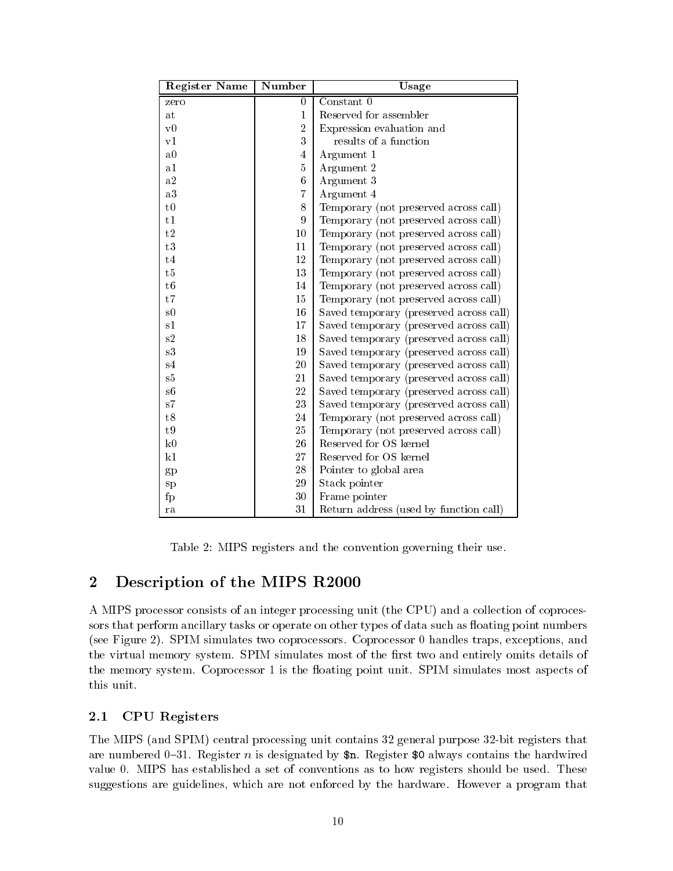| <b>Register Name</b>       | <b>Number</b>    | Usage                                   |
|----------------------------|------------------|-----------------------------------------|
| zero                       | $\boldsymbol{0}$ | Constant 0                              |
| at                         | 1                | Reserved for assembler                  |
| v <sub>0</sub>             | $\overline{2}$   | Expression evaluation and               |
| v1                         | 3                | results of a function                   |
| a <sub>0</sub>             | $\overline{4}$   | Argument 1                              |
| a1                         | $\overline{5}$   | Argument 2                              |
| a2                         | 6                | Argument 3                              |
| a3                         | 7                | Argument 4                              |
| t0                         | 8                | Temporary (not preserved across call)   |
| t1                         | 9                | Temporary (not preserved across call)   |
| t2                         | 10               | Temporary (not preserved across call)   |
| t3                         | 11               | Temporary (not preserved across call)   |
| t4                         | 12               | Temporary (not preserved across call)   |
| t5                         | 13               | Temporary (not preserved across call)   |
| t6                         | 14               | Temporary (not preserved across call)   |
| t7                         | 15               | Temporary (not preserved across call)   |
| s0                         | 16               | Saved temporary (preserved across call) |
| s1                         | 17               | Saved temporary (preserved across call) |
| s2                         | 18               | Saved temporary (preserved across call) |
| s3                         | 19               | Saved temporary (preserved across call) |
| $\ensuremath{\mathrm{s}}4$ | 20               | Saved temporary (preserved across call) |
| s5                         | 21               | Saved temporary (preserved across call) |
| s6                         | 22               | Saved temporary (preserved across call) |
| s7                         | 23               | Saved temporary (preserved across call) |
| t8                         | $\sqrt{24}$      | Temporary (not preserved across call)   |
| $\rm t9$                   | 25               | Temporary (not preserved across call)   |
| k0                         | 26               | Reserved for OS kernel                  |
| k1                         | 27               | Reserved for OS kernel                  |
| gp                         | 28               | Pointer to global area                  |
| sp                         | 29               | Stack pointer                           |
| fp                         | 30               | Frame pointer                           |
| ra                         | 31               | Return address (used by function call)  |

Table 2: MIPS registers and the convention governing their use.

#### 2Description of the MIPS R2000

A MIPS processor consists of an integer processing unit (the CPU) and a collection of coprocessors that perform ancillary tasks or operate on other types of data such as floating point numbers (see Figure 2). SPIM simulates two coprocessors. Coprocessor 0 handles traps, exceptions, and the virtual memory system. SPIM simulates most of the first two and entirely omits details of the memory system. Coprocessor 1 is the floating point unit. SPIM simulates most aspects of this unit.

# 2.1 CPU Registers

The MIPS (and SPIM) central processing unit contains 32 general purpose 32-bit registers that are numbered 0-31. Register n is designated by  $\mathfrak{In}$ . Register  $\mathfrak{so}$  always contains the hardwired value 0. MIPS has established a set of conventions as to how registers should be used. These suggestions are guidelines, which are not enforced by the hardware. However a program that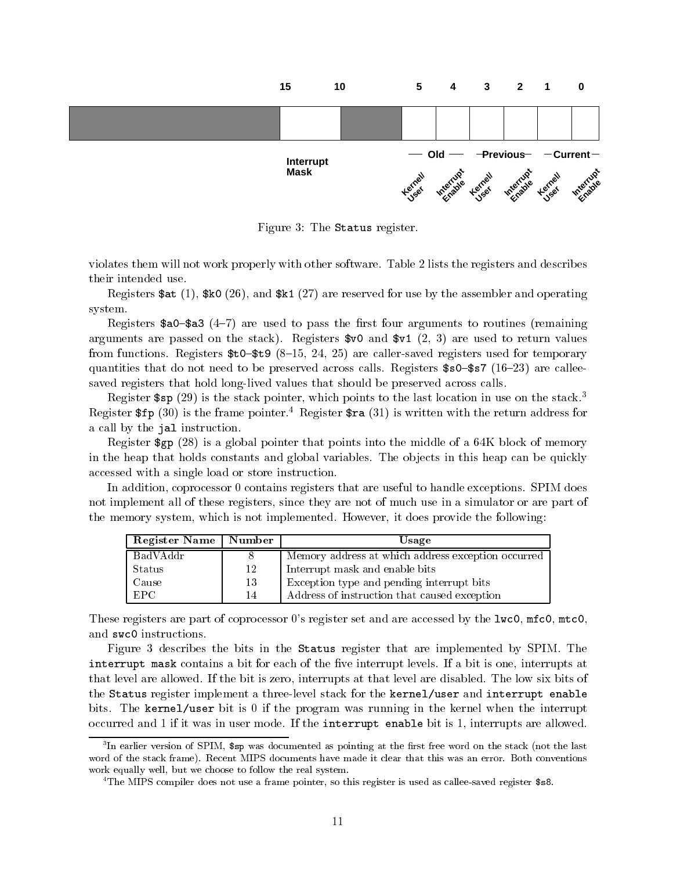

Figure 3: The Status register.

violates them will not work properly with other software. Table 2 lists the registers and describes their intended use.

Registers  $\text{Sat}(1)$ ,  $\text{ko}(26)$ , and  $\text{Ext}(27)$  are reserved for use by the assembler and operating system.

Registers  $a_0$ – $a_3$  (4–7) are used to pass the first four arguments to routines (remaining arguments are passed on the stack). Registers  $\sqrt{$v]}$  and  $\sqrt{$v]}$  (2, 3) are used to return values from functions. Registers  $t0$ - $t0$  (8-15, 24, 25) are caller-saved registers used for temporary quantities that do not need to be preserved across calls. Registers  $$s0-\$s7 (16-23)$  are calleesaved registers that hold long-lived values that should be preserved across calls.

Register  $\$ sp (29) is the stack pointer, which points to the last location in use on the stack.<sup>3</sup> Register  $f_p(30)$  is the frame pointer.<sup>4</sup> Register  $f_a(31)$  is written with the return address for a call by the jal instruction.

Register \$gp (28) is a global pointer that points into the middle of a 64K block of memory in the heap that holds constants and global variables. The objects in this heap can be quickly accessed with a single load or store instruction.

In addition, coprocessor 0 contains registers that are useful to handle exceptions. SPIM does not implement all of these registers, since they are not of much use in a simulator or are part of the memory system, which is not implemented. However, it does provide the following:

| <b>Register Name   Number</b> |    | Usage                                              |
|-------------------------------|----|----------------------------------------------------|
| BadVAddr                      |    | Memory address at which address exception occurred |
| Status                        | 12 | Interrupt mask and enable bits                     |
| Cause                         | 13 | Exception type and pending interrupt bits          |
| <b>EPC</b>                    | 14 | Address of instruction that caused exception       |

These registers are part of coprocessor 0's register set and are accessed by the lwc0, mfc0, mtc0, and swc0 instructions.

Figure 3 describes the bits in the Status register that are implemented by SPIM. The interrupt mask contains a bit for each of the interruptation in the situation of the state is one, interested that level are allowed. If the bit is zero, interrupts at that level are disabled. The low six bits of the Status register implement a three-level stack for the kernel/user and interrupt enable bits. The kernel/user bit is 0 if the program was running in the kernel when the interrupt occurred and 1 if it was in user mode. If the interrupt enable bit is 1, interrupts are allowed.

In earlier version of SPIM, \$sp was documented as pointing at the first free word on the stack (not the last word of the stack frame). Recent MIPS documents have made it clear that this was an error. Both conventions work equally well, but we choose to follow the real system.

<sup>4</sup>The MIPS compiler does not use a frame pointer, so this register is used as callee-saved register \$s8.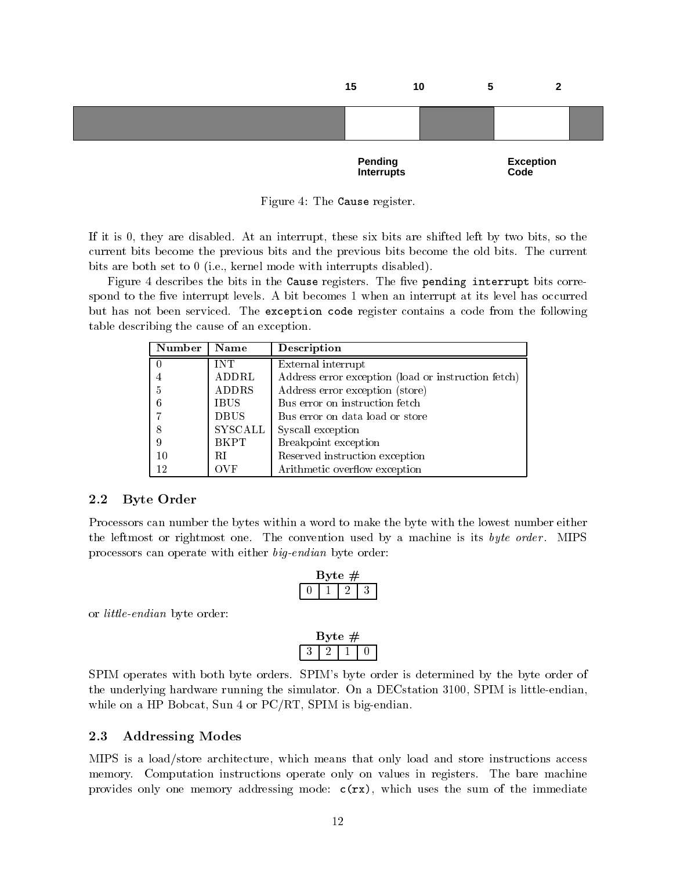

Figure 4: The Cause register.

If it is 0, they are disabled. At an interrupt, these six bits are shifted left by two bits, so the current bits become the previous bits and the previous bits become the old bits. The current bits are both set to 0 (i.e., kernel mode with interrupts disabled).

Figure 4 describes the bits in the Cause registers. The five pending interrupt bits correspond to the five interrupt levels. A bit becomes 1 when an interrupt at its level has occurred but has not been serviced. The exception code register contains a code from the following table describing the cause of an exception.

| Number | Name         | Description                                         |
|--------|--------------|-----------------------------------------------------|
|        | <b>INT</b>   | External interrupt                                  |
| 4      | ADDRL        | Address error exception (load or instruction fetch) |
| 5      | <b>ADDRS</b> | Address error exception (store)                     |
| 6      | <b>IBUS</b>  | Bus error on instruction fetch                      |
|        | <b>DBUS</b>  | Bus error on data load or store                     |
| 8      | SYSCALL      | Syscall exception                                   |
| 9      | <b>BKPT</b>  | Breakpoint exception                                |
| 10     | RІ           | Reserved instruction exception                      |
| 12     |              | Arithmetic overflow exception                       |

# 2.2 Byte Order

Processors can number the bytes within a word to make the byte with the lowest number either the leftmost or rightmost one. The convention used by a machine is its byte order. MIPS processors can operate with either big-endian byte order:

$$
\frac{\text{Byte}\ \#}{\begin{array}{|c|c|c|}\hline 0 & 1 & 2 & 3 \\ \hline \end{array}}
$$

or little-endian byte order:

$$
\frac{\text{Byte}\ \#}{3\ \ 2\ \ 1\ \ 0}
$$

SPIM operates with both byte orders. SPIM's byte order is determined by the byte order of the underlying hardware running the simulator. On a DECstation 3100, SPIM is little-endian, while on a HP Bobcat, Sun 4 or PC/RT, SPIM is big-endian.

# 2.3 Addressing Modes

MIPS is a load/store architecture, which means that only load and store instructions access memory. Computation instructions operate only on values in registers. The bare machine provides only one memory addressing mode:  $c(rx)$ , which uses the sum of the immediate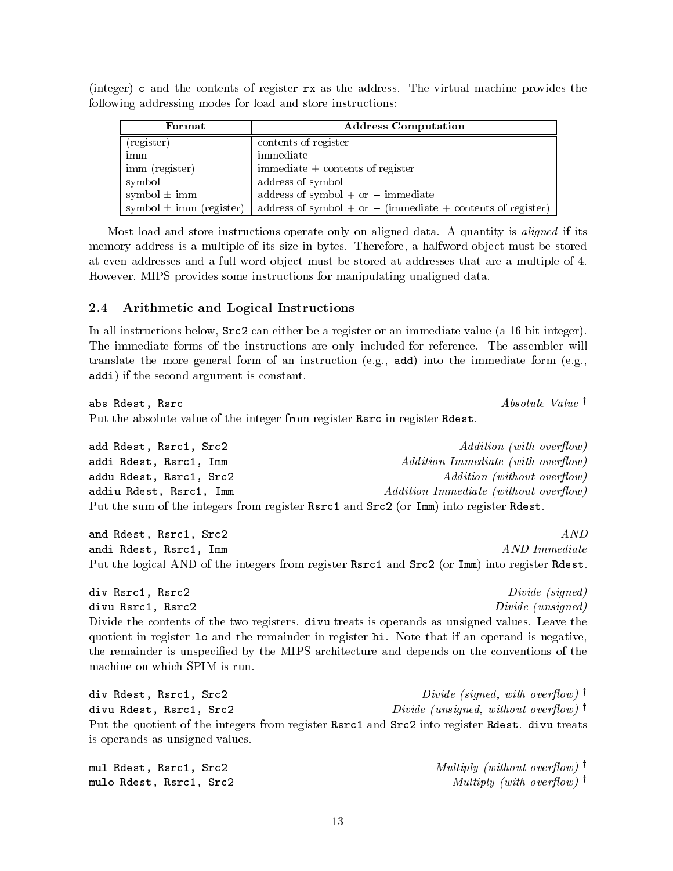| Format                      | <b>Address Computation</b>                                    |
|-----------------------------|---------------------------------------------------------------|
| (register)                  | contents of register                                          |
| imm                         | immediate                                                     |
| imm (register)              | $immediate + contents of register$                            |
| symbol                      | address of symbol                                             |
| symbol $\pm$ imm            | address of symbol $+$ or $-$ immediate                        |
| symbol $\pm$ imm (register) | address of symbol + or $-$ (immediate + contents of register) |

(integer) <sup>c</sup> and the contents of register rx as the address. The virtual machine provides the following addressing modes for load and store instructions:

Most load and store instructions operate only on aligned data. A quantity is *aligned* if its memory address is a multiple of its size in bytes. Therefore, a halfword object must be stored at even addresses and a full word object must be stored at addresses that are a multiple of 4. However, MIPS provides some instructions for manipulating unaligned data.

#### 2.4 Arithmetic and Logical Instructions

In all instructions below, Src2 can either be a register or an immediate value (a 16 bit integer). The immediate forms of the instructions are only included for reference. The assembler will translate the more general form of an instruction (e.g., add) into the immediate form (e.g., addi) if the second argument is constant.

abs Rdest, Rsrc  $A$ bsolute Value y

Put the absolute value of the integer from register Rsrc in register Rdest.

| add Rdest, Rsrc1, Src2                                                                 | Addition (with overflow)              |
|----------------------------------------------------------------------------------------|---------------------------------------|
| addi Rdest, Rsrc1, Imm                                                                 | Addition Immediate (with overflow)    |
| addu Rdest, Rsrc1, Src2                                                                | Addition (without overflow)           |
| addiu Rdest, Rsrc1, Imm                                                                | Addition Immediate (without overflow) |
| Put the sum of the integers from register Rsrc1 and Src2 (or Imm) into register Rdest. |                                       |

and Roman Richard Roman Roman Richard Roman Richard Roman Richard Roman Richard Roman Richard Roman Richard Ro and Robert, Radio II, Imm and Immediately include the contract of the contract of the contract of the contract of the contract of the contract of the contract of the contract of the contract of the contract of the contract Put the logical AND of the integers from register Rsrc1 and Src2 (or Imm) into register Rdest.

div Rsrc1, Rsrc2 Divide (signed) divu Rsrc1, Rsrc2 Divide (unsigned) Divide the contents of the two registers. divu treats is operands as unsigned values. Leave the quotient in register lo and the remainder in register hi. Note that if an operand is negative, the remainder is unspecied by the MIPS architecture and depends on the conventions of the machine on which SPIM is run.

div Rdest, Rsrc1, Src2 Divide (signed, with overflow)<sup>†</sup> divu Rdest, Rsrc1, Src2 Divide (unsigned, without overflow)<sup>†</sup> Put the quotient of the integers from register Rsrc1 and Src2 into register Rdest. divu treats is operands as unsigned values.

| mul Rdest, Rsrc1, Src2  | Multiply (without overflow) $\dagger$ |
|-------------------------|---------------------------------------|
| mulo Rdest, Rsrc1, Src2 | Multiply (with overflow) $\dagger$    |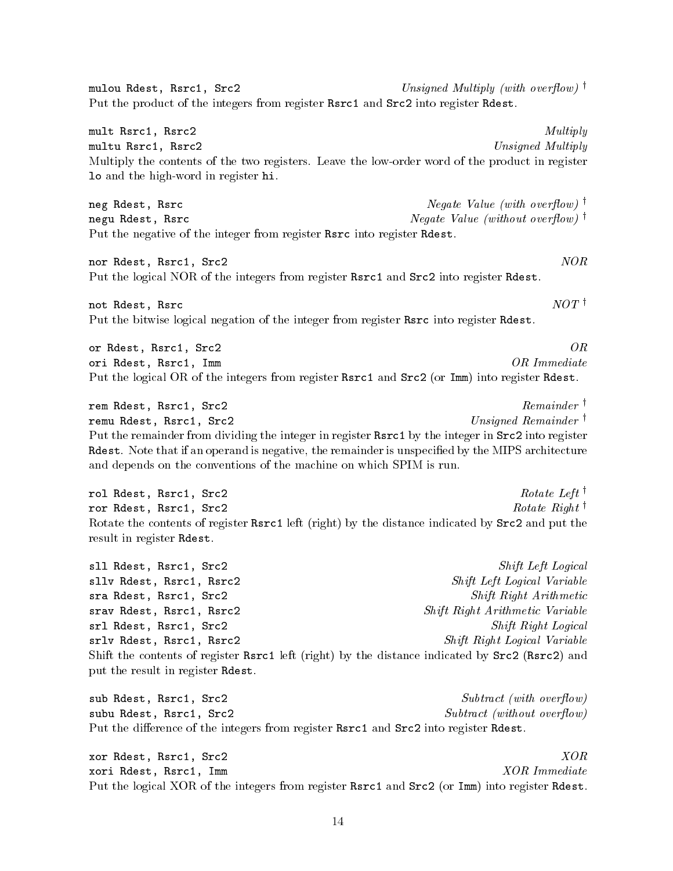mulou Rdest, Rsrc1, Src2 Unsigned Multiply (with overflow)<sup>†</sup> Put the product of the integers from register Rsrc1 and Src2 into register Rdest. multiply and a set of a state of the set of the set of the set of the set of the set of the set of the set of t Unsigned Multiply multu Rsrc1, Rsrc2 Multiply the contents of the two registers. Leave the low-order word of the product in register lo and the high-word in register hi. Negate Value (with overflow)  $\dagger$ neg Rdest, Rsrc negu Rdest, Rsrc Negate Value (without overflow)  $\dagger$ Put the negative of the integer from register Rsrc into register Rdest. nor Roman and Roman and Roman and Roman and Roman and Roman and Roman and Roman and Roman and Roman and Roman Put the logical NOR of the integers from register Rsrc1 and Src2 into register Rdest.  $\blacksquare$ not Rdest, Rsrc  $NUI$  yields the set of  $NUI$  yields  $NUI$  yields  $NUI$  yields  $NUI$  yields  $NUI$  yields  $NUI$  yields  $NUI$  yields  $NUI$  yields  $NUI$  yields  $NUI$  yields  $NUI$  yields  $NUI$  yields  $NUI$  yields  $NUI$  yields  $NUI$  yie Put the bitwise logical negation of the integer from register Rsrc into register Rdest.  $\overline{OR}$ or Rdest, Rsrc1, Src2 OR ori Radio Romanica Romanica e a constructive control de la constructive control de la construction de la constr Put the logical OR of the integers from register Rsrc1 and Src2 (or Imm) into register Rdest.  $r$ em Rdest, Rsrc1, Src2  $R$ emainder y remu Rdest, Rsrc1, Src2 Unsigned Remainder  $\dagger$ Put the remainder from dividing the integer in register Rsrc1 by the integer in Src2 into register Rdest. Note that if an operand is negative, the remainder is unspecified by the MIPS architecture and depends on the conventions of the machine on which SPIM is run. rol Rdest, Rsrc1, Src2  $R_{OL}$  Rotate Left y  ${\tt root}$  ror  ${\tt R}{\tt 0}$  rates  ${\tt R}{\tt 0}$  rates  ${\tt R}{\tt 0}$  and  ${\tt R}{\tt 0}$  and  ${\tt R}{\tt 0}$  and  ${\tt R}{\tt 0}$  and  ${\tt R}{\tt 0}$  and  ${\tt R}{\tt 0}$  and  ${\tt R}{\tt 0}$  and  ${\tt R}{\tt 0}$  and  ${\tt R}{\tt 0}$  and  ${\tt R}{\tt 0}$  and  ${\tt R}{\tt 0}$  an Rotate the contents of register Rsrc1 left (right) by the distance indicated by Src2 and put the result in register Rdest. sll Roman Shift Logical Roman Shift Logical Roman Shift Logical Roman Shift Logical Roman Shift Logical Roman Shift Logical Roman Shift Logical Roman Shift Logical Roman Shift Logical Roman Shift Logical Roman Shift Logica Shift Left Logical Variable sllv Rdest, Rsrc1, Rsrc2 sra Rdest, Rsrc1, Src2 Shift Right Arithmetic srav Rdest, Rsrc1, Rsrc2 Shift Right Arithmetic Variable sie Roman in Roman de Paris de Shift Right Right Right Right Logical Shift Right Right Right Right Right Right Right Right Right Right Right Right Right Right Right Right Right Right Right Right Right Right Right Right Rig Shift Right Logical Variable srlv Rdest, Rsrc1, Rsrc2 Shift the contents of register Rsrc1 left (right) by the distance indicated by Src2 (Rsrc2) and put the result in register Rdest. subtractive relationship over the contract of the contract of the contract of the contract of the contract of the contract of the contract of the contract of the contract of the contract of the contract of the contract of subu Rdest, Rsrc1, Src2 Subtract (without overflow) Put the difference of the integers from register Rsrc1 and Src2 into register Rdest.

xor Rdest, Rsrc1, Src2 XOR xori Romania, Rsrcan, Rsrcan, Rsrcan, Rsrcan, Rsrcan, Rsrcan, Rsrcan, Rsrcan, Rsrcan, Rsrcan, Rsrcan, Rsrcan, Put the logical XOR of the integers from register Rsrc1 and Src2 (or Imm) into register Rdest.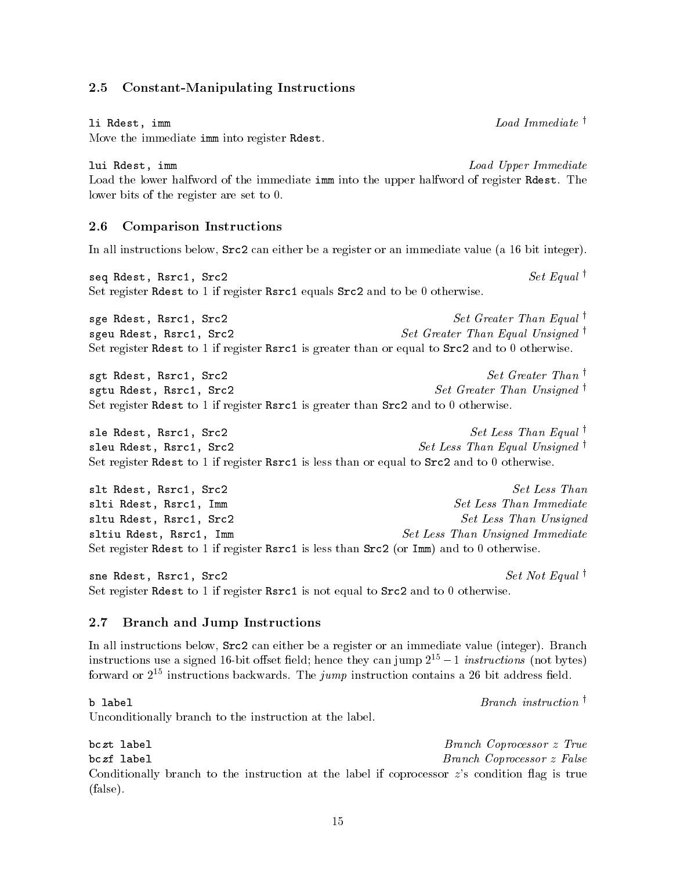# 2.5 Constant-Manipulating Instructions

Move the immediate imm into register Rdest.

li Rdest, imm

lui Rdest, imm Load Upper Immediate Load the lower halfword of the immediate imm into the upper halfword of register Rdest. The lower bits of the register are set to 0. 2.6 Comparison Instructions In all instructions below, Src2 can either be a register or an immediate value (a 16 bit integer).  $\mathcal{S}$ eq Rdest, Rsrc1, Src2  $\mathcal{S}^{e}$ t Equal y Set register Rdest to 1 if register Rsrc1 equals Src2 and to be 0 otherwise. sge Rdest, Rsrc1, Src2  $Set$  Greater Than Equal  $\dagger$ sgeu Rdest, Rsrc1, Src2  $Set~ Greater~ Than~ Equal~Unsigned$ <sup>†</sup> Set register Rdest to 1 if register Rsrc1 is greater than or equal to Src2 and to 0 otherwise.  $\mathcal{S}$ gt Rdest, Rsrc1, Src2  $\mathcal{S}$ et Greater Than you  $\mathcal{S}$ et Greater Than you sgtu Rdest, Rsrc1, Src2  $Set\; Greater\; Than\; Unsigned\;†$ Set register Rdest to 1 if register Rsrc1 is greater than Src2 and to 0 otherwise. sle Rdest, Rsrc1, Src2  $Set$  Less Than Equal  $\dagger$ sleu Rdest, Rsrc1, Src2  $Set \; Less \; Than \; Equal \; Unsigned \dagger$ Set register Rdest to 1 if register Rsrc1 is less than or equal to Src2 and to 0 otherwise. s and the slut Research and the set  $\mathcal{N} \cup \mathcal{N}$  and  $\mathcal{N} \cup \mathcal{N}$  . The set  $\mathcal{N} \cup \mathcal{N}$ slti Rdest, Rsrc1, Imm Set Less Than Immediate sltu Rdest, Rsrc1, Src2 Set Less Than Unsigned sltiu Rdest, Rsrc1, Imm Set Less Than Unsigned Immediate Set register Rdest to 1 if register Rsrc1 is less than Src2 (or Imm) and to 0 otherwise.

 $\mathcal{S}$ ne Rdest, Rsrc1, Src2 Set Not Equal y Set Not Equal y Set Not Equal y Set Not Equal y Set Not Equal y Set Not Equal y Set Not Equal y Set Not Equal y Set Not Equal y Set Not Equal y Set Not Equal y Set Not Equal y Set register Rdest to 1 if register Rsrc1 is not equal to Src2 and to 0 otherwise.

# 2.7 Branch and Jump Instructions

In all instructions below, Src2 can either be a register or an immediate value (integer). Branch instructions use a signed 16-bit offset field; hence they can jump  $2^{15} - 1$  *instructions* (not bytes) forward or  $2^{15}$  instructions backwards. The jump instruction contains a 26 bit address field.

# b label

Branch instruction  $\dagger$ 

 $Load\ Immediate$ <sup>†</sup>

Unconditionally branch to the instruction at the label.

bczt label Branch Coprocessor z True bc zf label and the set of the Branch Coprocessor z False Conditionally branch to the instruction at the label if coprocessor  $z$ 's condition flag is true (false).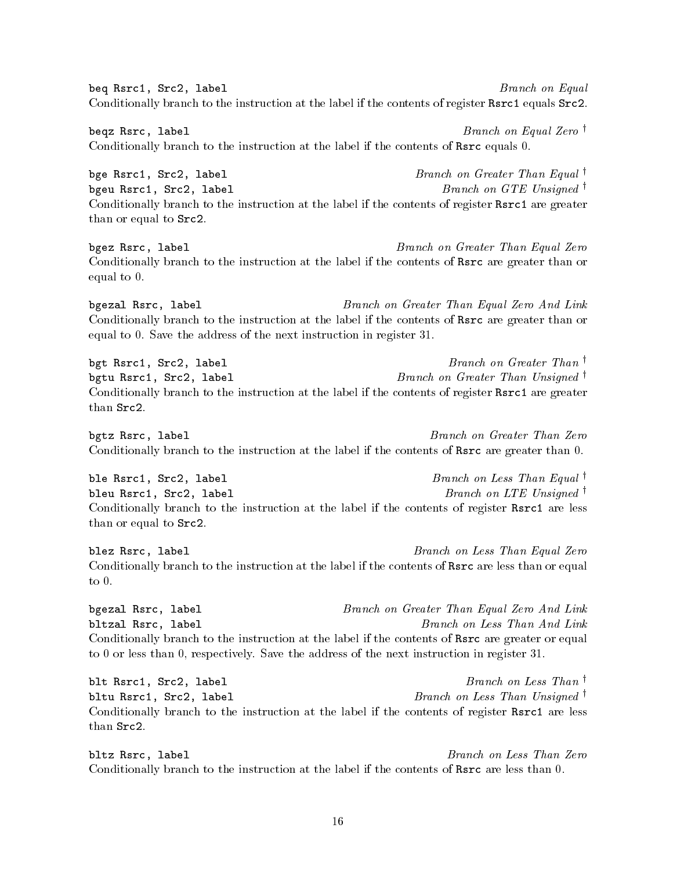bel abel bel same and the control on Equal Structure on Equal Structure on Equal Structure on Equal Structure Conditionally branch to the instruction at the label if the contents of register Rsrc1 equals Src2.

beqz Rsrc, label Branch on Equal Zero  $\dagger$ Conditionally branch to the instruction at the label if the contents of Rsrc equals 0.

bge Rsrc1, Src2, label Branch on Greater Than Equal  $\dagger$ bgeu Rsrc1, Src2, label Branch on GTE Unsigned  $\dagger$ Conditionally branch to the instruction at the label if the contents of register Rsrc1 are greater than or equal to Src2.

bgez Rsrc, label Branch on Greater Than Equal Zero Conditionally branch to the instruction at the label if the contents of Rsrc are greater than or equal to 0.

bgezal Rsrc, label Branch on Greater Than Equal Zero And Link Conditionally branch to the instruction at the label if the contents of Rsrc are greater than or equal to 0. Save the address of the next instruction in register 31.

bgt Rsrc1, Src2, label Branch on Greater Than  $\dagger$ bgtu Rsrc1, Src2, label Branch on Greater Than Unsigned  $\dagger$ Conditionally branch to the instruction at the label if the contents of register Rsrc1 are greater than Src2.

bgtz Rsrc, label Branch on Greater Than Zero Conditionally branch to the instruction at the label if the contents of Rsrc are greater than 0.

ble Rsrc1, Src2, label Branch on Less Than Equal  $\dagger$ bleu Rsrc1, Src2, label Branch on LTE Unsigned  $\dagger$ Conditionally branch to the instruction at the label if the contents of register Rsrc1 are less than or equal to Src2.

blez Rsrc, label Branch on Less Than Equal Zero Conditionally branch to the instruction at the label if the contents of Rsrc are less than or equal to 0.

bgezal Rsrc, label Branch on Greater Than Equal Zero And Link bltzal Rsrc, label Branch on Less Than And Link Conditionally branch to the instruction at the label if the contents of Rsrc are greater or equal to 0 or less than 0, respectively. Save the address of the next instruction in register 31.

blt Rsrc1, Src2, label Branch on Less Than  $\dagger$ bltu Rsrc1, Src2, label Branch on Less Than Unsigned  $^{\dagger}$ Conditionally branch to the instruction at the label if the contents of register Rsrc1 are less than Src2.

bltz Rsrc, label Branch on Less Than Zero Conditionally branch to the instruction at the label if the contents of Rsrc are less than 0.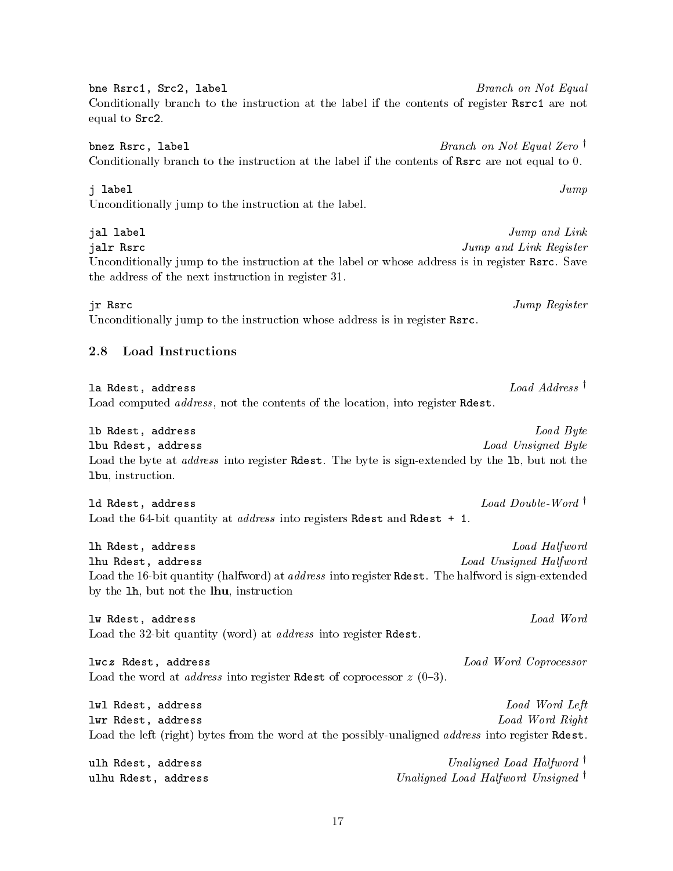| Conditionally branch to the instruction at the label if the contents of register Rsrc1 are not<br>equal to Src2.                                                                               |                                                                                       |
|------------------------------------------------------------------------------------------------------------------------------------------------------------------------------------------------|---------------------------------------------------------------------------------------|
| bnez Rsrc, label<br>Conditionally branch to the instruction at the label if the contents of Rsrc are not equal to 0.                                                                           | Branch on Not Equal Zero <sup>†</sup>                                                 |
| j label<br>Unconditionally jump to the instruction at the label.                                                                                                                               | Jump                                                                                  |
| jal label<br>jalr Rsrc<br>Unconditionally jump to the instruction at the label or whose address is in register Rsrc. Save<br>the address of the next instruction in register 31.               | Jump and Link<br>Jump and Link Register                                               |
| jr Rsrc<br>Unconditionally jump to the instruction whose address is in register Rsrc.                                                                                                          | Jump Register                                                                         |
| <b>Load Instructions</b><br>2.8                                                                                                                                                                |                                                                                       |
| la Rdest, address<br>Load computed <i>address</i> , not the contents of the location, into register Rdest.                                                                                     | Load Address <sup>†</sup>                                                             |
| lb Rdest, address<br>lbu Rdest, address<br>Load the byte at <i>address</i> into register Rdest. The byte is sign-extended by the 1b, but not the<br>1bu, instruction.                          | Load Byte<br>Load Unsigned Byte                                                       |
| ld Rdest, address<br>Load the 64-bit quantity at <i>address</i> into registers Rdest and Rdest $+1$ .                                                                                          | Load Double-Word $\dagger$                                                            |
| lh Rdest, address<br>lhu Rdest, address<br>Load the 16-bit quantity (halfword) at <i>address</i> into register Rdest. The halfword is sign-extended<br>by the 1h, but not the lhu, instruction | Load Halfword<br>Load Unsigned Halfword                                               |
| lw Rdest, address<br>Load the 32-bit quantity (word) at <i>address</i> into register Rdest.                                                                                                    | Load Word                                                                             |
| lwcz Rdest, address<br>Load the word at <i>address</i> into register Rdest of coprocessor $z$ (0-3).                                                                                           | Load Word Coprocessor                                                                 |
| lwl Rdest, address<br>lwr Rdest, address<br>Load the left (right) bytes from the word at the possibly-unaligned <i>address</i> into register Rdest.                                            | Load Word Left<br>Load Word Right                                                     |
| ulh Rdest, address<br>ulhu Rdest, address                                                                                                                                                      | Unaligned Load Halfword <sup>†</sup><br>Unaligned Load Halfword Unsigned <sup>†</sup> |

beli, which is a set of the set of the set of the set of the set of the set of the set of the set of the set of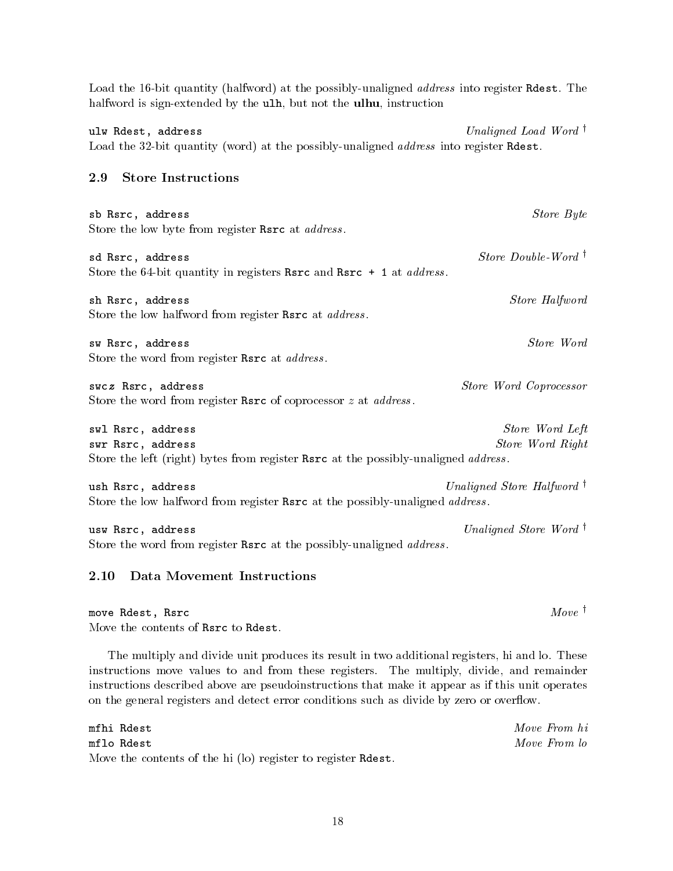halfword is sign-extended by the ulh, but not the ulhu, instruction ulw Rdest, address Unaligned Load Word  $^{\dagger}$ Load the 32-bit quantity (word) at the possibly-unaligned *address* into register Rdest. 2.9 sb Rsrc, address Store Byte Store the low byte from register Rsrc at *address*. sd  $S$ s  $S$ tore  $D$ ouble-Word yn Store Double-Word yn Store Double-Word yn Store Double-Word yn Store Double-Word yn Store Double-Word yn Store Double-Word yn Store Double-Word yn Store Double-Word yn Store Double-Word yn Store the 64-bit quantity in registers Rsrc and Rsrc  $+$  1 at *address*. sh Rsrc, address Store Halfword Store the low halfword from register Rsrc at *address*. sweeper Store Store Words Store Words Store Words Store Words Store Words Store Words Store Words Store Words Store the word from register Rsrc at *address*. swcz Rsrc, address Store Word Coprocessor Store the word from register Rsrc of coprocessor  $z$  at *address*. swl Rsrc, address Store Word Left swr Rsrc, address Store, Word Right Store the left (right) bytes from register Rsrc at the possibly-unaligned *address*. ush Rsrc, address Unaligned Store Halfword  $\dagger$ Store the low halfword from register Rsrc at the possibly-unaligned *address*. Unaligned Store Word  $\dagger$ usw Rsrc, address Store the word from register Rsrc at the possibly-unaligned *address*.

Load the 16-bit quantity (halfword) at the possibly-unaligned *address* into register Rdest. The

move  $\mathtt{Move}$  ,  $\mathtt{Move}$  , and  $\mathtt{Move}$  if the set of  $\mathtt{Move}$  if the set of  $\mathtt{Move}$  if the set of  $\mathtt{Move}$  if the set of  $\mathtt{Move}$  if the set of  $\mathtt{Move}$  if the set of  $\mathtt{Move}$  if the set of  $\mathtt{Move}$  if the set

The multiply and divide unit produces its result in two additional registers, hi and lo. These instructions move values to and from these registers. The multiply, divide, and remainder instructions described above are pseudoinstructions that make it appear as if this unit operates on the general registers and detect error conditions such as divide by zero or overflow.

mfhi Rdest Move From hi mflo Rdest Move From lo Move the contents of the hi (lo) register to register Rdest.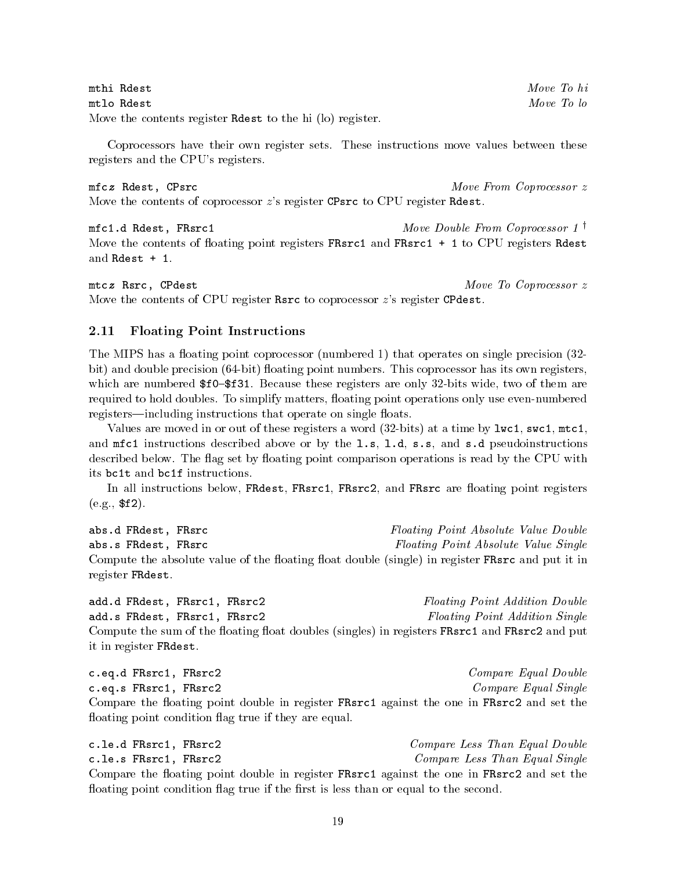Coprocessors have their own register sets. These instructions move values between these registers and the CPU's registers.

mfcz Rdest, CPsrc  $Move$  From Coprocessor z Move the contents of coprocessor z's register CPsrc to CPU register Rdest.

mfc1.dMove Double From Coprocessor  $1^{\dagger}$ Move the contents of floating point registers  $FRsrc1$  and  $FRsrc1 + 1$  to CPU registers Rdest and Rdest <sup>+</sup> 1.

mtcz Rsrc, CPdest  $Move\ To\ Copprocessor$ Move the contents of CPU register Rsrc to coprocessor <sup>z</sup>'s register CPdest.

# 2.11 Floating Point Instructions

The MIPS has a floating point coprocessor (numbered 1) that operates on single precision (32bit) and double precision (64-bit) floating point numbers. This coprocessor has its own registers, which are numbered  $$f0-$f31$ . Because these registers are only 32-bits wide, two of them are required to hold doubles. To simplify matters, floating point operations only use even-numbered registers—including instructions that operate on single floats.

Values are moved in or out of these registers a word (32-bits) at a time by lwc1, swc1, mtc1, and mfc1 instructions described above or by the l.s, l.d, s.s, and s.d pseudoinstructions described below. The flag set by floating point comparison operations is read by the CPU with its bc1t and bc1f instructions.

In all instructions below, FRdest, FRsrc1, FRsrc2, and FRsrc are floating point registers  $(e.g., $f2)$ .

abs.d FRdest, FRsrc Floating Point Absolute Value Double abs.s FRdest, FRsrc Floating Point Absolute Value Single Compute the absolute value of the floating float double (single) in register **FR**src and put it in register FRdest.

add.d FRdest, FRsrc1, FRsrc2 Floating Point Addition Double add.s FRdest, FRsrc1, FRsrc2 Floating Point Addition Single Compute the sum of the floating float doubles (singles) in registers **FRsrc1** and **FRsrc2** and put it in register FRdest.

c.eq.d FRsrc1, FRsrc2 Compare Equal Double c.eq.s FRsrc1, FRsrc2 Compare Equal Single Compare the floating point double in register FRsrc1 against the one in FRsrc2 and set the floating point condition flag true if they are equal.

c.le.d FRsrc1, FRsrc2 Compare Less Than Equal Double c.le.s FRsrc1, FRsrc2 Compare Less Than Equal Single Compare the floating point double in register FRsrc1 against the one in FRsrc2 and set the floating point condition flag true if the first is less than or equal to the second.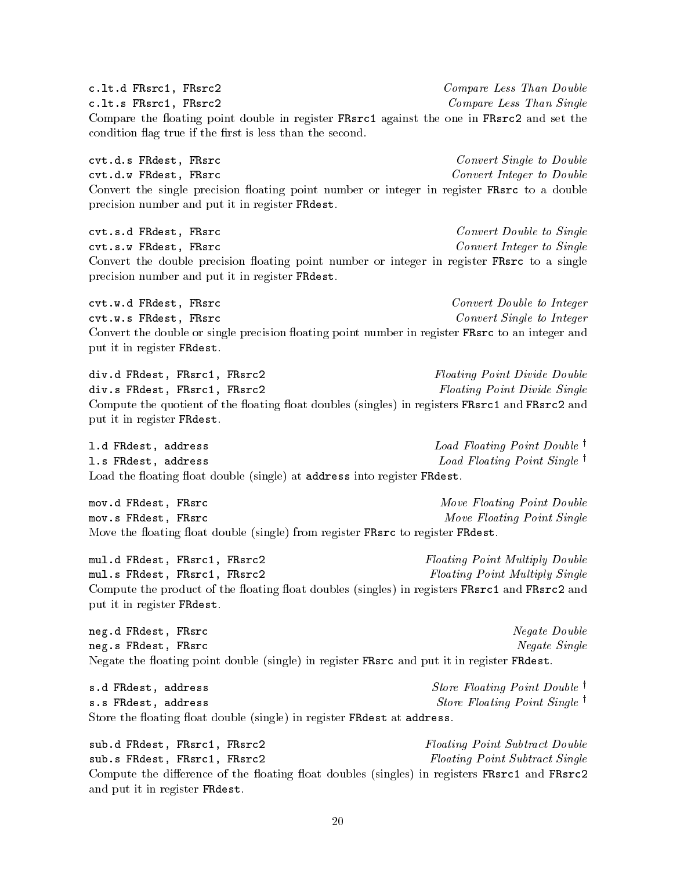c.lt.d FRsrc1, FRsrc2 Compare Less Than Double c.lt.s FRsrc1, FRsrc2 Compare Less Than Single Compare the floating point double in register FRsrc1 against the one in FRsrc2 and set the condition flag true if the first is less than the second. cvt.d.s FRdest, FRsrc Convert Single to Double cvt.d.w FRdest, FRsrc Convert Integer to Double Convert the single precision floating point number or integer in register FRsrc to a double precision number and put it in register FRdest. cvt.s.d FRdest, FRsrc Convert Double to Single cvt.s.w FRdest, FRsrc Convert Integer to Single Convert the double precision floating point number or integer in register FRsrc to a single precision number and put it in register FRdest. cvt.w.d FRdest, FRsrc Convert Double to Integer cvt.w.s FRdest, FRsrc Convert Single to Integer Convert the double or single precision floating point number in register FRsrc to an integer and put it in register FRdest. div.d FRdest, FRsrc1, FRsrc2 Floating Point Divide Double div.s FRdest, FRsrc1, FRsrc2 Floating Point Divide Single Compute the quotient of the floating float doubles (singles) in registers FRsrc1 and FRsrc2 and put it in register FRdest. 1.d FRdest, address  $Load \ Floding \ Point \ Double \dagger$ 1.s FRdest, address Load Floating Point Single  $\dagger$ Load the floating float double (single) at address into register FRdest. mov.dMove Floating Point Double mov.s FRdest, FRsrc Move Floating Point Single Move the floating float double (single) from register FRsrc to register FRdest. mul.d FRdest, FRsrc1, FRsrc2 Floating Point Multiply Double mul.s FRdest, FRsrc1, FRsrc2 Floating Point Multiply Single Compute the product of the floating float doubles (singles) in registers FRsrc1 and FRsrc2 and put it in register FRdest. neg.d Frances (Barbara) – 1990 – 1990 – 1990 – 1990 – 1990 – 1990 – 1990 – 1990 – 1990 – 1990 – 1990 – 1990 – 1 neg.s Fransk provinse Singles Singles Singles Singles Singles Singles Singles Singles Singles Singles Singles Negate the floating point double (single) in register FRsrc and put it in register FRdest. s.d FRdest, address Store Floating Point Double  $\dagger$ s.s FRdest, address Store Floating Point Single  $\dagger$ Store the floating float double (single) in register FRdest at address.

sub.d FRdest, FRsrc1, FRsrc2 Floating Point Subtract Double sub.s FRdest, FRsrc1, FRsrc2 Floating Point Subtract Single Compute the difference of the floating float doubles (singles) in registers FRsrc1 and FRsrc2 and put it in register FRdest.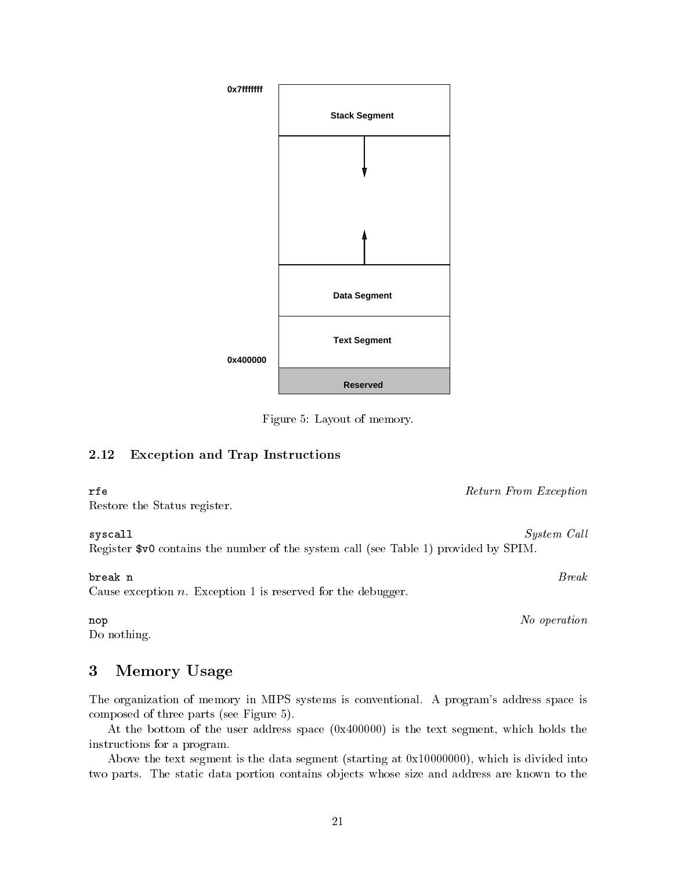

Figure 5: Layout of memory.

# 2.12 Exception and Trap Instructions

rfeRestore the Status register.

syscall

Register \$v0 contains the number of the system call (see Table 1) provided by SPIM.

# break

Cause exception  $n$ . Exception 1 is reserved for the debugger.

# nopDo nothing.

#### 3Memory Usage

The organization of memory in MIPS systems is conventional. A program's address space is composed of three parts (see Figure 5).

At the bottom of the user address space (0x400000) is the text segment, which holds the instructions for a program.

Above the text segment is the data segment (starting at 0x10000000), which is divided into two parts. The static data portion contains objects whose size and address are known to the

Return From Exception

No operation

System Call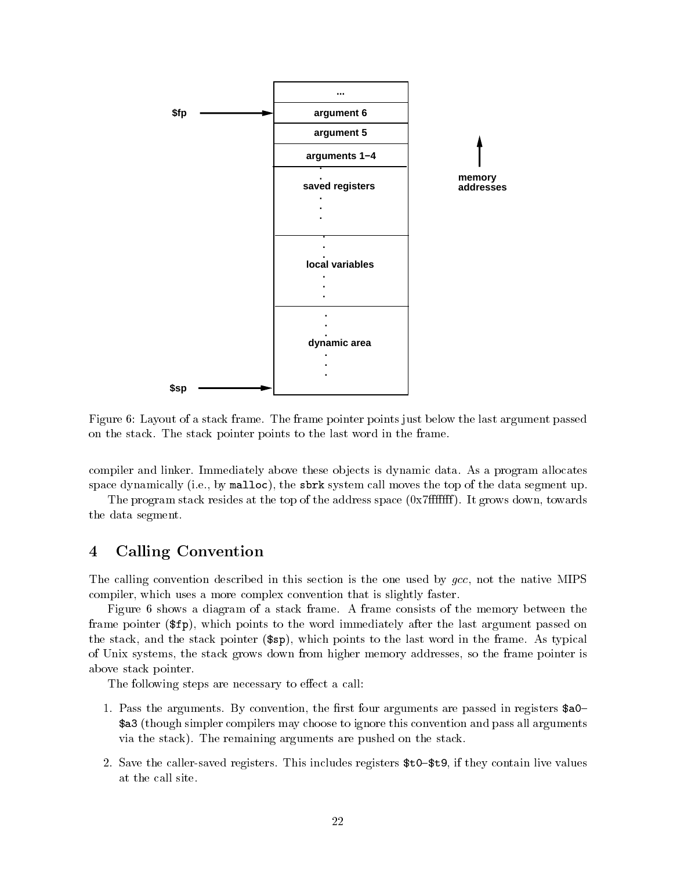

Figure 6: Layout of a stack frame. The frame pointer points just below the last argument passed on the stack. The stack pointer points to the last word in the frame.

compiler and linker. Immediately above these objects is dynamic data. As a program allocates space dynamically (i.e., by malloc), the sbrk system call moves the top of the data segment up.

The program stack resides at the top of the address space  $(0x7ffffff)$ . It grows down, towards the data segment.

#### 4 Calling Convention  $\overline{\phantom{a}}$

The calling convention described in this section is the one used by  $\textit{gcc}$ , not the native MIPS compiler, which uses a more complex convention that is slightly faster.

Figure 6 shows a diagram of a stack frame. A frame consists of the memory between the frame pointer (\$fp), which points to the word immediately after the last argument passed on the stack, and the stack pointer  $(\frac{2}{5})$ , which points to the last word in the frame. As typical of Unix systems, the stack grows down from higher memory addresses, so the frame pointer is above stack pointer.

The following steps are necessary to effect a call:

- 1. Pass the arguments. By convention, the first four arguments are passed in registers  $a_0$  $\mathbf{y}$  as (the ignore through simpler compilers may choose to ignore this convention and pass all arguments are  $\mathbf{y}$ via the stack). The remaining arguments are pushed on the stack.
- 2. Save the caller-saved registers. This includes registers  $$t0-$t9$ , if they contain live values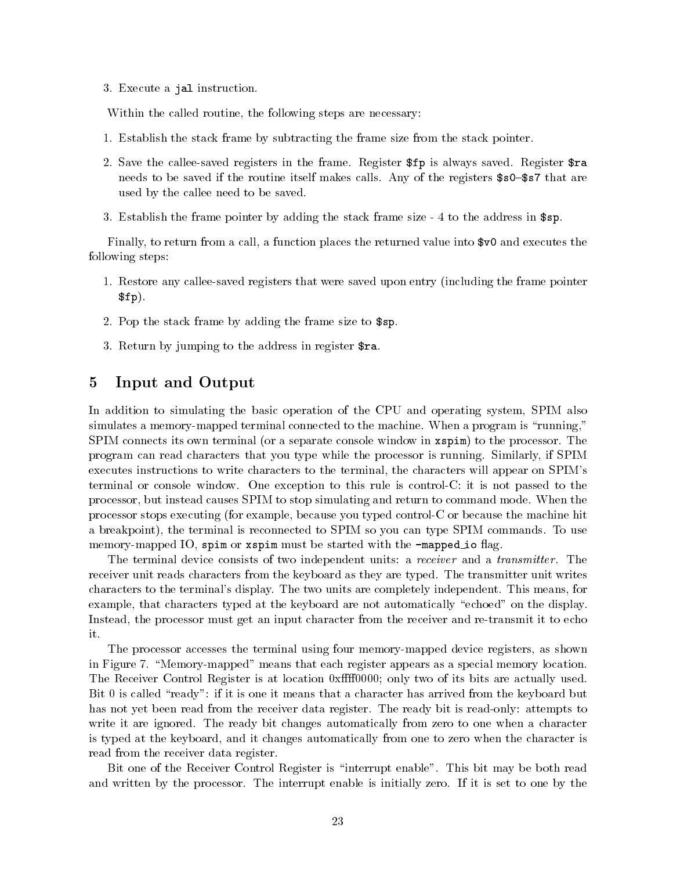3. Execute a jal instruction.

Within the called routine, the following steps are necessary:

- 1. Establish the stack frame by subtracting the frame size from the stack pointer.
- 2. Save the callee-saved registers in the frame. Register \$fp is always saved. Register \$ra needs to be saved if the routine itself makes calls. Any of the registers  $$s0-\$s7$  that are used by the callee need to be saved.
- 3. Establish the frame pointer by adding the stack frame size 4 to the address in \$sp.

Finally, to return from a call, a function places the returned value into \$v0 and executes the following steps:

- 1. Restore any callee-saved registers that were saved upon entry (including the frame pointer  $$fp$ ).
- 2. Pop the stack frame by adding the frame size to \$sp.
- 3. Return by jumping to the address in register \$ra.

#### $\overline{5}$ Input and Output

In addition to simulating the basic operation of the CPU and operating system, SPIM also simulates a memory-mapped terminal connected to the machine. When a program is "running," SPIM connects its own terminal (or a separate console window in xspim) to the processor. The program can read characters that you type while the processor is running. Similarly, if SPIM executes instructions to write characters to the terminal, the characters will appear on SPIM's terminal or console window. One exception to this rule is control-C: it is not passed to the processor, but instead causes SPIM to stop simulating and return to command mode. When the processor stops executing (for example, because you typed control-C or because the machine hit a breakpoint), the terminal is reconnected to SPIM so you can type SPIM commands. To use memory-mapped IO, spim or xspim must be started with the -mapped io flag.

The terminal device consists of two independent units: a receiver and a transmitter. The receiver unit reads characters from the keyboard as they are typed. The transmitter unit writes characters to the terminal's display. The two units are completely independent. This means, for example, that characters typed at the keyboard are not automatically "echoed" on the display. Instead, the processor must get an input character from the receiver and re-transmit it to echo it.

The processor accesses the terminal using four memory-mapped device registers, as shown in Figure 7. "Memory-mapped" means that each register appears as a special memory location. The Receiver Control Register is at location 0xffff0000; only two of its bits are actually used. Bit 0 is called "ready": if it is one it means that a character has arrived from the keyboard but has not yet been read from the receiver data register. The ready bit is read-only: attempts to write it are ignored. The ready bit changes automatically from zero to one when a character is typed at the keyboard, and it changes automatically from one to zero when the character is read from the receiver data register.

Bit one of the Receiver Control Register is \interrupt enable". This bit may be both read and written by the processor. The interrupt enable is initially zero. If it is set to one by the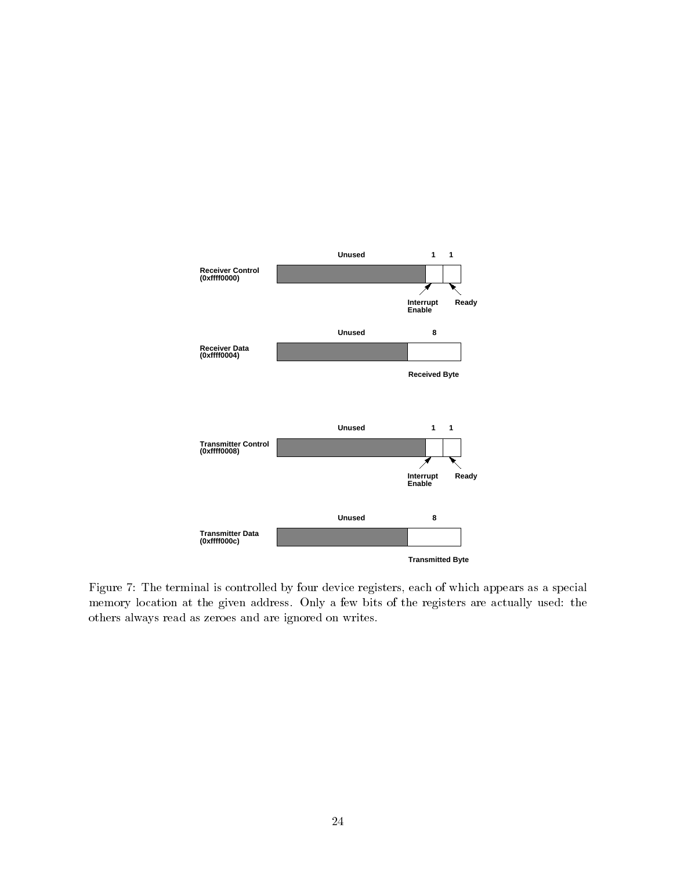

Figure 7: The terminal is controlled by four device registers, each of which appears as a special memory location at the given address. Only a few bits of the registers are actually used: the others always read as zeroes and are ignored on writes.